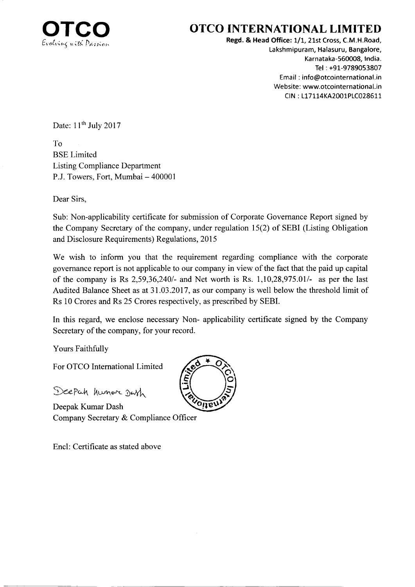

## OTCO INTERNATIONAL LIMITED

Regd. & Head Office: 1/1, 21st Cross, C.M.H.Road, Lakshmipuram, Halasuru, Bangalore, Karnataka-56O008, lndia. Tel : +91-9789053807 Email : info@otcointernational.in Website: www.otcointernational.in CIN: L17114KA2001PLC028611

Date:  $11<sup>th</sup>$  July 2017

To BSE Limited Listing Compliance Department P.J. Towers, Fort, Mumbai - 400001

Dear Sirs,

Sub: Non-applicability certificate for submission of Corporate Governance Report signed by the Company Secretary of the company, under regulation 15(2) of SEBI (Listing Obligation and Disclosure Requirements) Regulations, 2015

We wish to inform you that the requirement regarding compliance with the corporate governance report is not applicable to our company in view of the fact that the paid up capital of the company is Rs  $2,59,36,240/4$  and Net worth is Rs.  $1,10,28,975.01/4$  as per the last Audited Balance Sheet as at 31.03.2017, as our company is well below the threshold limit of Rs 10 Crores and Rs 25 Crores respectively, as prescribed by SEBI.

In this regard, we enclose necessary Non- applicability certificate signed by the Company Secretary of the company, for your record.

Yours Faithfully

For OTCO International Limited

Deepah hunor Dash

Deepak Kumar Dash Company Secretary & Compliance Officer

Encl: Certificate as stated above